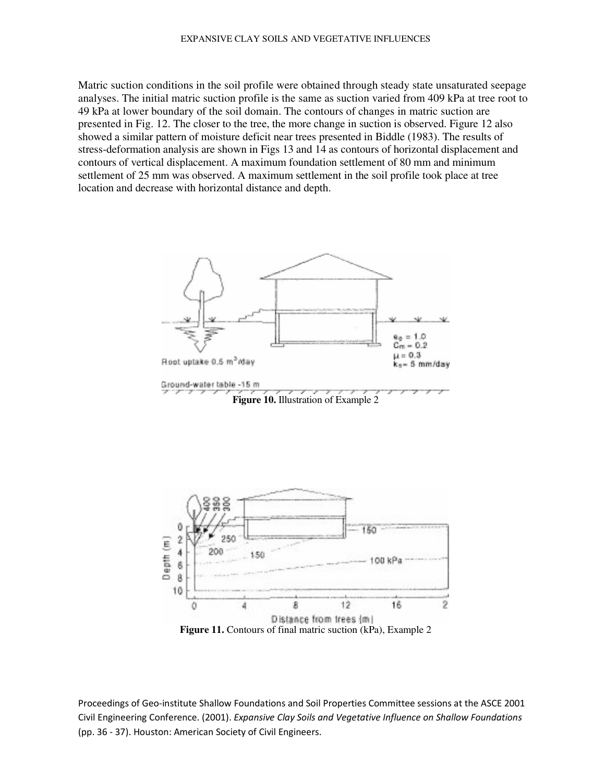Matric suction conditions in the soil profile were obtained through steady state unsaturated seepage analyses. The initial matric suction profile is the same as suction varied from 409 kPa at tree root to 49 kPa at lower boundary of the soil domain. The contours of changes in matric suction are presented in Fig. 12. The closer to the tree, the more change in suction is observed. Figure 12 also showed a similar pattern of moisture deficit near trees presented in Biddle (1983). The results of stress-deformation analysis are shown in Figs 13 and 14 as contours of horizontal displacement and contours of vertical displacement. A maximum foundation settlement of 80 mm and minimum settlement of 25 mm was observed. A maximum settlement in the soil profile took place at tree location and decrease with horizontal distance and depth.





Proceedings of Geo-institute Shallow Foundations and Soil Properties Committee sessions at the ASCE 2001 Civil Engineering Conference. (2001). Expansive Clay Soils and Vegetative Influence on Shallow Foundations (pp. 36 - 37). Houston: American Society of Civil Engineers.